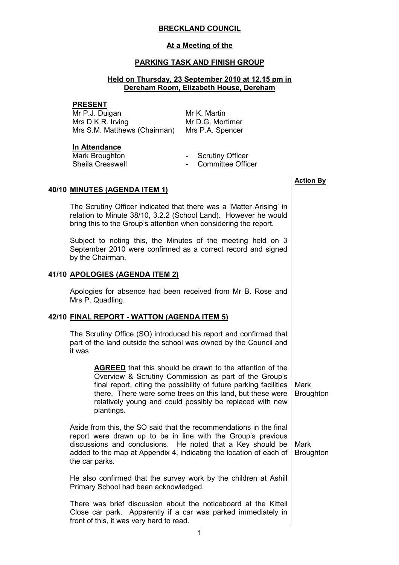# BRECKLAND COUNCIL

#### At a Meeting of the

## PARKING TASK AND FINISH GROUP

## Held on Thursday, 23 September 2010 at 12.15 pm in Dereham Room, Elizabeth House, Dereham

#### PRESENT

Mr P.J. Duigan Mrs D.K.R. Irving Mrs S.M. Matthews (Chairman) Mrs P.A. Spencer

Mr K. Martin Mr D.G. Mortimer

#### In Attendance

Sheila Cresswell **Committee Officer Committee Officer** 

- Mark Broughton  **Scrutiny Officer** 
	-

### 40/10 MINUTES (AGENDA ITEM 1)

 The Scrutiny Officer indicated that there was a 'Matter Arising' in relation to Minute 38/10, 3.2.2 (School Land). However he would bring this to the Group's attention when considering the report.

Subject to noting this, the Minutes of the meeting held on 3 September 2010 were confirmed as a correct record and signed by the Chairman.

### 41/10 APOLOGIES (AGENDA ITEM 2)

 Apologies for absence had been received from Mr B. Rose and Mrs P. Quadling.

### 42/10 FINAL REPORT - WATTON (AGENDA ITEM 5)

 The Scrutiny Office (SO) introduced his report and confirmed that part of the land outside the school was owned by the Council and it was

> AGREED that this should be drawn to the attention of the Overview & Scrutiny Commission as part of the Group's final report, citing the possibility of future parking facilities there. There were some trees on this land, but these were relatively young and could possibly be replaced with new plantings. Mark **Broughton**

Aside from this, the SO said that the recommendations in the final report were drawn up to be in line with the Group's previous discussions and conclusions. He noted that a Key should be added to the map at Appendix 4, indicating the location of each of the car parks. **Broughton** 

He also confirmed that the survey work by the children at Ashill Primary School had been acknowledged.

There was brief discussion about the noticeboard at the Kittell Close car park. Apparently if a car was parked immediately in front of this, it was very hard to read.

Action By

Mark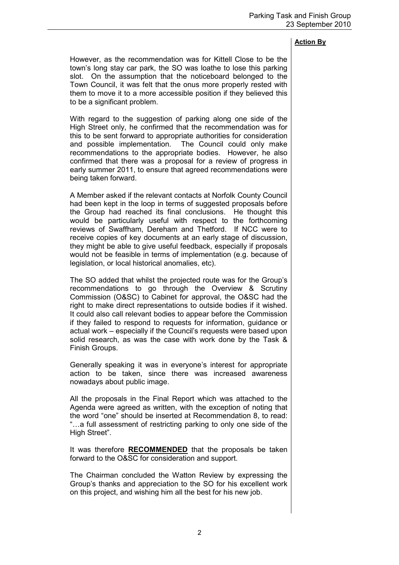## Action By

However, as the recommendation was for Kittell Close to be the town's long stay car park, the SO was loathe to lose this parking slot. On the assumption that the noticeboard belonged to the Town Council, it was felt that the onus more properly rested with them to move it to a more accessible position if they believed this to be a significant problem.

With regard to the suggestion of parking along one side of the High Street only, he confirmed that the recommendation was for this to be sent forward to appropriate authorities for consideration and possible implementation. The Council could only make recommendations to the appropriate bodies. However, he also confirmed that there was a proposal for a review of progress in early summer 2011, to ensure that agreed recommendations were being taken forward.

A Member asked if the relevant contacts at Norfolk County Council had been kept in the loop in terms of suggested proposals before the Group had reached its final conclusions. He thought this would be particularly useful with respect to the forthcoming reviews of Swaffham, Dereham and Thetford. If NCC were to receive copies of key documents at an early stage of discussion, they might be able to give useful feedback, especially if proposals would not be feasible in terms of implementation (e.g. because of legislation, or local historical anomalies, etc).

The SO added that whilst the projected route was for the Group's recommendations to go through the Overview & Scrutiny Commission (O&SC) to Cabinet for approval, the O&SC had the right to make direct representations to outside bodies if it wished. It could also call relevant bodies to appear before the Commission if they failed to respond to requests for information, guidance or actual work – especially if the Council's requests were based upon solid research, as was the case with work done by the Task & Finish Groups.

Generally speaking it was in everyone's interest for appropriate action to be taken, since there was increased awareness nowadays about public image.

All the proposals in the Final Report which was attached to the Agenda were agreed as written, with the exception of noting that the word "one" should be inserted at Recommendation 8, to read: "…a full assessment of restricting parking to only one side of the High Street".

It was therefore **RECOMMENDED** that the proposals be taken forward to the O&SC for consideration and support.

The Chairman concluded the Watton Review by expressing the Group's thanks and appreciation to the SO for his excellent work on this project, and wishing him all the best for his new job.